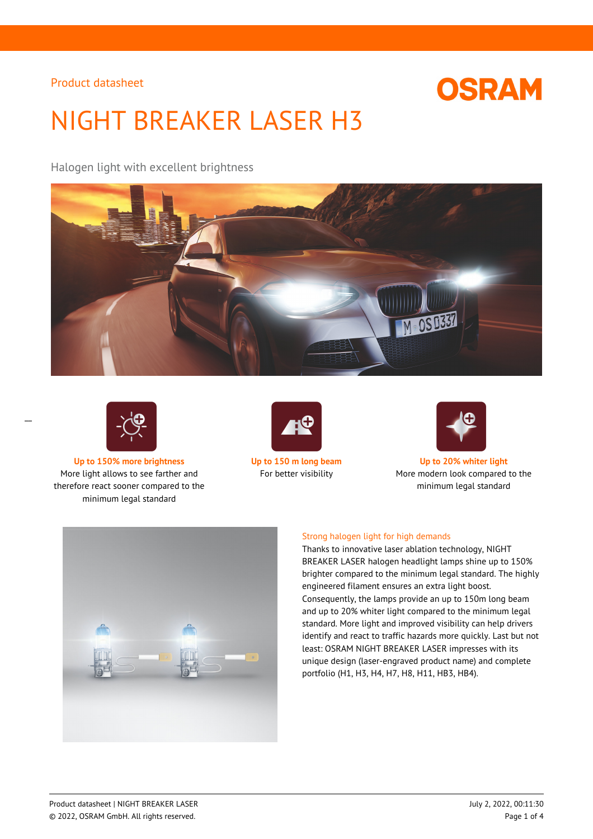

# NIGHT BREAKER LASER H3

Halogen light with excellent brightness





 $\overline{a}$ 

**Up to 150% more brightness Up to 150 m long beam Up to 20% whiter light** More light allows to see farther and therefore react sooner compared to the minimum legal standard





For better visibility More modern look compared to the minimum legal standard



### Strong halogen light for high demands

Thanks to innovative laser ablation technology, NIGHT BREAKER LASER halogen headlight lamps shine up to 150% brighter compared to the minimum legal standard. The highly engineered filament ensures an extra light boost. Consequently, the lamps provide an up to 150m long beam and up to 20% whiter light compared to the minimum legal standard. More light and improved visibility can help drivers identify and react to traffic hazards more quickly. Last but not least: OSRAM NIGHT BREAKER LASER impresses with its unique design (laser-engraved product name) and complete portfolio (H1, H3, H4, H7, H8, H11, HB3, HB4).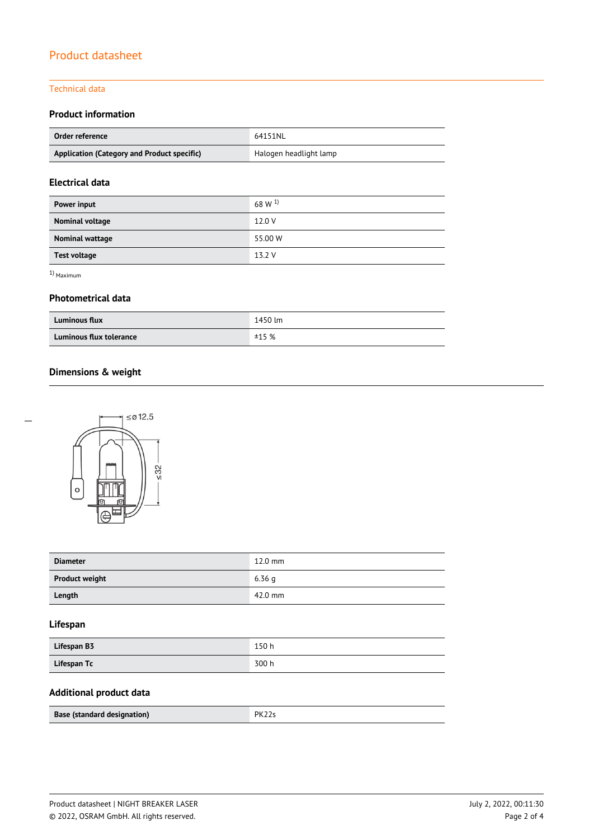#### Technical data

# **Product information**

| Order reference                             | 64151NL                |
|---------------------------------------------|------------------------|
| Application (Category and Product specific) | Halogen headlight lamp |

# **Electrical data**

| Power input         | 68 W <sup>1)</sup> |
|---------------------|--------------------|
| Nominal voltage     | 12.0 V             |
| Nominal wattage     | 55.00 W            |
| <b>Test voltage</b> | 13.2 V             |

1) Maximum

#### **Photometrical data**

| <b>Luminous flux</b>    | 1450 lm |
|-------------------------|---------|
| Luminous flux tolerance | ±15%    |

# **Dimensions & weight**



| <b>Diameter</b>       | $12.0$ mm |
|-----------------------|-----------|
| <b>Product weight</b> | 6.36q     |
| Length                | 42.0 mm   |

## **Lifespan**

| Lifespan B3 | 150 h |
|-------------|-------|
| Lifespan Tc | 300 h |

## **Additional product data**

| Base (standard designation) | $\mathsf{P} \mathsf{R}^{\infty}$ |
|-----------------------------|----------------------------------|
|-----------------------------|----------------------------------|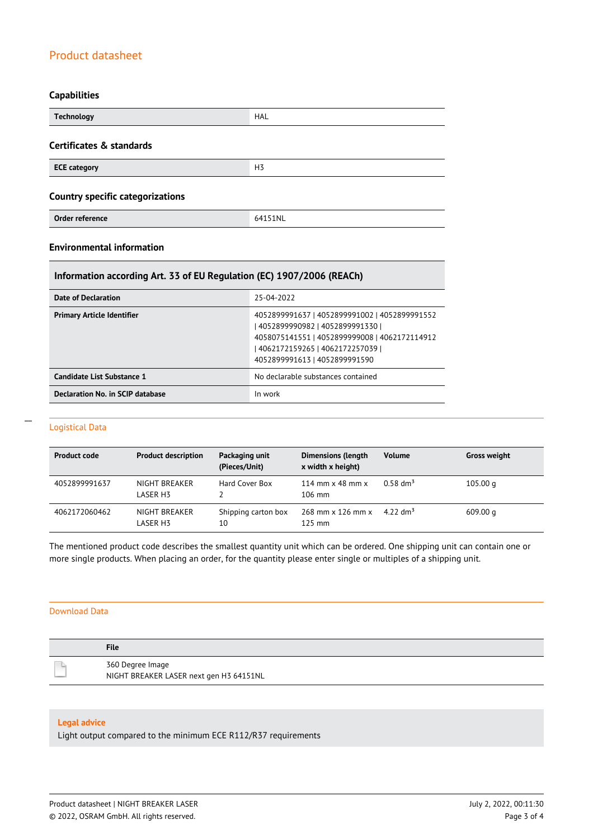#### **Capabilities**

| <b>Technology</b>                       | <b>HAL</b>     |
|-----------------------------------------|----------------|
| Certificates & standards                |                |
| <b>ECE category</b>                     | H <sub>3</sub> |
| <b>Country specific categorizations</b> |                |
| Order reference                         | 64151NL        |

## **Environmental information**

## **Information according Art. 33 of EU Regulation (EC) 1907/2006 (REACh)**

| Date of Declaration               | 25-04-2022                                                                                                                                                                                              |
|-----------------------------------|---------------------------------------------------------------------------------------------------------------------------------------------------------------------------------------------------------|
| <b>Primary Article Identifier</b> | 4052899991637   4052899991002   4052899991552<br>  4052899990982   4052899991330  <br>4058075141551   4052899999008   4062172114912<br>4062172159265   4062172257039  <br>4052899991613   4052899991590 |
| Candidate List Substance 1        | No declarable substances contained                                                                                                                                                                      |
| Declaration No. in SCIP database  | In work                                                                                                                                                                                                 |

#### Logistical Data

 $\overline{a}$ 

| <b>Product code</b> | <b>Product description</b> | Packaging unit<br>(Pieces/Unit) | <b>Dimensions (length</b><br>x width x height)     | <b>Volume</b>        | <b>Gross weight</b> |
|---------------------|----------------------------|---------------------------------|----------------------------------------------------|----------------------|---------------------|
| 4052899991637       | NIGHT BREAKER<br>LASER H3  | Hard Cover Box                  | 114 mm $\times$ 48 mm $\times$<br>$106 \text{ mm}$ | $0.58 \text{ dm}^3$  | 105.00 g            |
| 4062172060462       | NIGHT BREAKER<br>LASER H3  | Shipping carton box<br>10       | 268 mm x 126 mm x<br>$125 \text{ mm}$              | 4.22 dm <sup>3</sup> | 609.00 g            |

The mentioned product code describes the smallest quantity unit which can be ordered. One shipping unit can contain one or more single products. When placing an order, for the quantity please enter single or multiples of a shipping unit.

#### Download Data

| <b>File</b>                                                 |
|-------------------------------------------------------------|
| 360 Degree Image<br>NIGHT BREAKER LASER next gen H3 64151NL |

#### **Legal advice**

Light output compared to the minimum ECE R112/R37 requirements